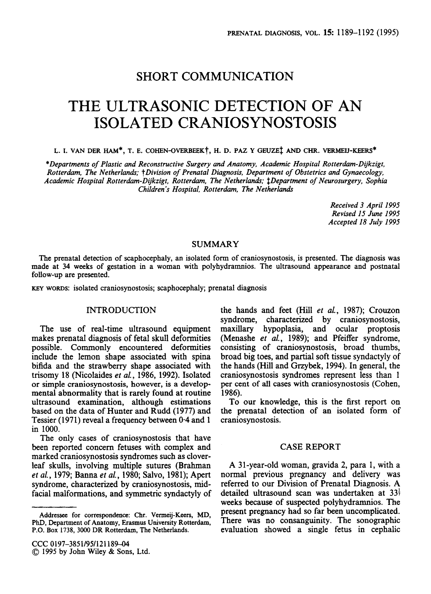## SHORT COMMUNICATION

# THE ULTRASONIC DETECTION OF AN ISOLATED CRANIOSYNOSTOSIS

**L. I. VAN DER** HAM\*, **T. E. COHEN-OVERBEEK?, H. D. PAZ Y GEUZE~** *AM)* **CHR. VERMEU-KEERS\*** 

*\*Departments of Plastic and Reconstructive Surgery and Anatomy, Academic Hospital Rotterdam-Dgkzigt, Rotterdam, The Netherlands; tDivision of Prenatal Diagnosis, Department of Obstetrics and Gynaecology, Academic Hospital Rotterdam-Dijkzigt, Rotterdam, The Netherld; \$Department of Neurosurgery, Sophia Children's Hospital, Rotterdam, The Netherlands* 

> *Received 3 April 1995 Revised 15 June 1995 Accepted 18 July 1995*

#### SUMMARY

The prenatal detection of scaphocephaly, an isolated form of craniosynostosis, is presented. The diagnosis was made at **34 weeks** of gestation in a woman with polyhydramnios. The ultrasound appearance and postnatal follow-up are presented.

**KEY** WORDS: isolated craniosynostosis; scaphocephaly; prenatal diagnosis

### INTRODUCTION

The use of real-time ultrasound equipment makes prenatal diagnosis of fetal skull deformities possible. Commonly encountered deformities include the lemon shape associated with spina bifida and the strawberry shape associated with trisomy 18 (Nicolaides et *al.,* 1986, 1992). Isolated or simple craniosynostosis, however, is a developmental abnormality that is rarely found at routine ultrasound examination, although estimations based on the data of Hunter and Rudd (1977) and Tessier (1971) reveal a frequency between **0.4** and 1 in 1000.

The only cases of craniosynostosis that have been reported concern fetuses with complex and marked craniosynostosis syndromes such as cloverleaf skulls, involving multiple sutures (Brahman *et al.,* 1979; Banna *et al.,* 1980; Salvo, 1981); Apert syndrome, characterized by craniosynostosis, midfacial malformations, and symmetric syndactyly of the hands and feet (Hill et *al.,* 1987); Crouzon syndrome, characterized by craniosynostosis, maxillary hypoplasia, and ocular proptosis (Menashe et *al.,* 1989); and Pfeiffer syndrome, consisting of craniosynostosis, broad thumbs, broad big toes, and partial soft tissue syndactyly of the hands (Hill and Grzybek, 1994). In general, the craniosynostosis syndromes represent less than 1 per cent of all cases with craniosynostosis (Cohen, 1986).

To our knowledge, this is the first report on the prenatal detection of an isolated form of craniosynostosis.

#### CASE REPORT

A 31-year-old woman, gravida 2, para 1, with a normal previous pregnancy and delivery was referred to our Division of Prenatal Diagnosis. A detailed ultrasound scan was undertaken at  $33\frac{1}{7}$ weeks because of suspected polyhydramnios. The present pregnancy had so far been uncomplicated. There was **no** consanguinity. The sonographic evaluation showed a single fetus in cephalic

**Addressee for correspondence: Chr. Vermeij-Keers, MD, PhD, Department of Anatomy, Erasmus University Rotterdam, P.O. Box 1738, 3000 DR Rotterdam, The Netherlands.**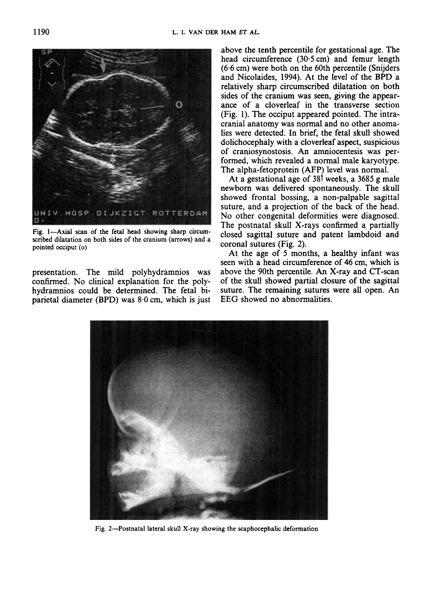

**Fig. I-Axial scan of the fetal head showing sharp circumscribed dilatation on both sides of the cranium (arrows) and a pointed occiput** *(0)* 

presentation. The mild polyhydramnios was confirmed. No clinical explanation for the polyhydramnios could be determined. The fetal biparietal diameter (BPD) was 8.0 cm, which is just

above the tenth percentile for gestational age. The head circumference (30.5 cm) and femur length  $(6.6 \text{ cm})$  were both on the 60th percentile (Snijders) and Nicolaides, **1994).** At the level of the BPD a relatively sharp circumscribed dilatation on both sides of the cranium was seen, giving the appearance of a cloverleaf in the transverse section (Fig. 1). The occiput appeared pointed. The intracranial anatomy was normal and no other anomalies were detected. In brief, the fetal skull showed dolichocephaly with a cloverleaf aspect, suspicious of craniosynostosis. An amniocentesis was performed, which revealed a normal male karyotype. The alpha-fetoprotein (AFP) level was normal.

At a gestational age of **385** weeks, a 3685 g male newborn was delivered spontaneously. The skull showed frontal bossing, a non-palpable sagittal suture, and a projection of the back of the head. No other congenital deformities were diagnosed. The postnatal skull X-rays confirmed a partially closed sagittal suture and patent lambdoid and coronal sutures (Fig. 2).

At the age of *5* months, a healthy infant was seen with a head circumference of **46** cm, which is above the 90th percentile. *An* X-ray and CT-scan of the skull showed partial closure of the sagittal suture. The remaining sutures were all open. An EEG showed no abnormalities.



**Fig. 2-Postnatal lateral skull X-ray showing the scaphocephalic deformation**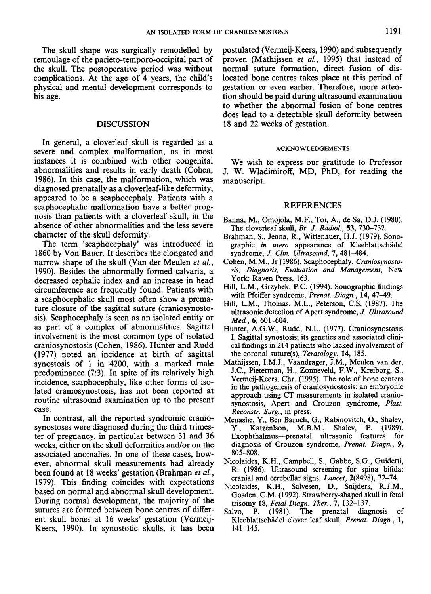The skull shape was surgically remodelled by remoulage of the parieto-temporo-occipital part of the skull. The postoperative period was without complications. At the age of 4 years, the child's physical and mental development corresponds to his age.

#### DISCUSSION

In general, a cloverleaf skull is regarded as a severe and complex malformation, as in most instances it is combined with other congenital abnormalities and results in early death (Cohen, 1986). In this case, the malformation, which was diagnosed prenatally as a cloverleaf-like deformity, appeared to be a scaphocephaly. Patients with a scaphocephalic malformation have a better prognosis than patients with a cloverleaf skull, in the absence of other abnormalities and the less severe character of the skull deformity.

The term 'scaphocephaly' was introduced in 1860 by Von Bauer. It describes the elongated and narrow shape of the skull (Van der Meulen *et al.,*  1990). Besides the abnormally formed calvaria, a decreased cephalic index and an increase in head circumference are frequently found. Patients with a scaphocephalic skull most often show a premature closure of the sagittal suture (craniosynostosis). Scaphocephaly is seen as an isolated entity or as part of a complex of abnormalities. Sagittal involvement is the most common type of isolated craniosynostosis (Cohen, 1986). Hunter and Rudd (1977) noted an incidence at birth of sagittal synostosis of 1 in 4200, with a marked male predominance (7:3). In spite of its relatively high incidence, scaphocephaly, like other forms of isolated craniosynostosis, has not been reported at routine ultrasound examination up to the present case.

In contrast, all the reported syndromic craniosynostoses were diagnosed during the third trimester of pregnancy, in particular between 31 and 36 weeks, either on the skull deformities and/or on the associated anomalies. In one of these cases, however, abnormal skull measurements had already been found at 18 weeks' gestation (Brahman *et al,*  1979). This finding coincides with expectations based on normal and abnormal skull development. During normal development, the majority of the sutures are formed between bone centres of different skull bones at 16 weeks' gestation (Vermeij-Keers, 1990). In synostotic skulls, it has been postulated (Vermeij-Keers, 1990) and subsequently proven (Mathijssen *et al,* 1995) that instead of normal suture formation, direct fusion of dislocated bone centres takes place at this period of gestation or even earlier. Therefore, more attention should be paid during ultrasound examination to whether the abnormal fusion of bone centres does lead to a detectable skull deformity between 18 and 22 weeks of gestation.

#### **ACKNOWLEDGEMENTS**

We wish to express our gratitude to Professor J. W. Wladimiroff, MD, PhD, for reading the manuscript.

#### REFERENCES

- Banna, M., Omojola, M.F., Toi, A., de Sa, D.J. (1980). The cloverleaf skull, *Br. J. Radiol., 53,* 730-732.
- Brahman, *S.,* Jenna, R., Wittenauer, H.J. (1979). Sonographic *in utero* appearance of Kleeblattschadel syndrome, *J. Clin. Ultrasound,* 7,481-484.
- Cohen, M.M., Jr (1986). Scaphocephaly. *Craniosynosto***sis,** *Diagnosis, Evaluation and Management,* New York: Raven Press, 163.
- Hill, L.M., Grzybek, P.C. (1994). Sonographic findings with Pfeiffer syndrome, *Prenat. Diagn.,* 14,47-49.
- Hill, L.M., Thomas, M.L., Peterson, C.S. (1987). The ultrasonic detection of Apert syndrome, *J. Ultrasound Med,* 6,601-604.
- Hunter, A.G.W., Rudd, N.L. (1977). Craniosynostosis I. Sagittal synostosis; its genetics and associated clinical findings in 214 patients who lacked involvement of the coronal suture(s), *Teratology,* 14, 185.
- Mathijssen, I.M.J., Vaandrager, J.M., Meulen van der, J.C., Pieterman, H., Zonneveld, **F.W.,** Kreiborg, *S.,*  Vermeij-Keers, Chr. (1995). The role of bone centers in the pathogenesis of craniosynostosis: an embryonic approach using *CT* measurements in isolated craniosynostosis, Apert and Crouzon syndrome, *Plast. Reconstr. Surg.,* in press.
- Menashe, Y., Ben Baruch, G., Rabinovitch, *O.,* Shalev, **Y.,** Katzenlson, M.B.M., Shalev, **E.** (1989). Exophthalmus-prenatal ultrasonic features for diagnosis of Crouzon syndrome, *Prenat. Diagn., 9,*  805-808.
- Nicolaides, K.H., Campbell, *S.,* Gabbe, S.G., Guidetti, R. (1986). Ultrasound screening for spina bifida: cranial and cerebellar signs, *Loncet,* 2(8498), 72-74.
- Nicolaides, K.H., Salvesen, D., Snijders, R.J.M., Gosden, C.M. (1992). Strawberry-shaped skull in fetal trisomy **18,** *Fetal Diagn. Ther., 7,* 132-137.
- Salvo, P. (1981). The prenatal Kleeblattschadel clover leaf skull, *Prenat. Diagn.,* **1,**  141-145.